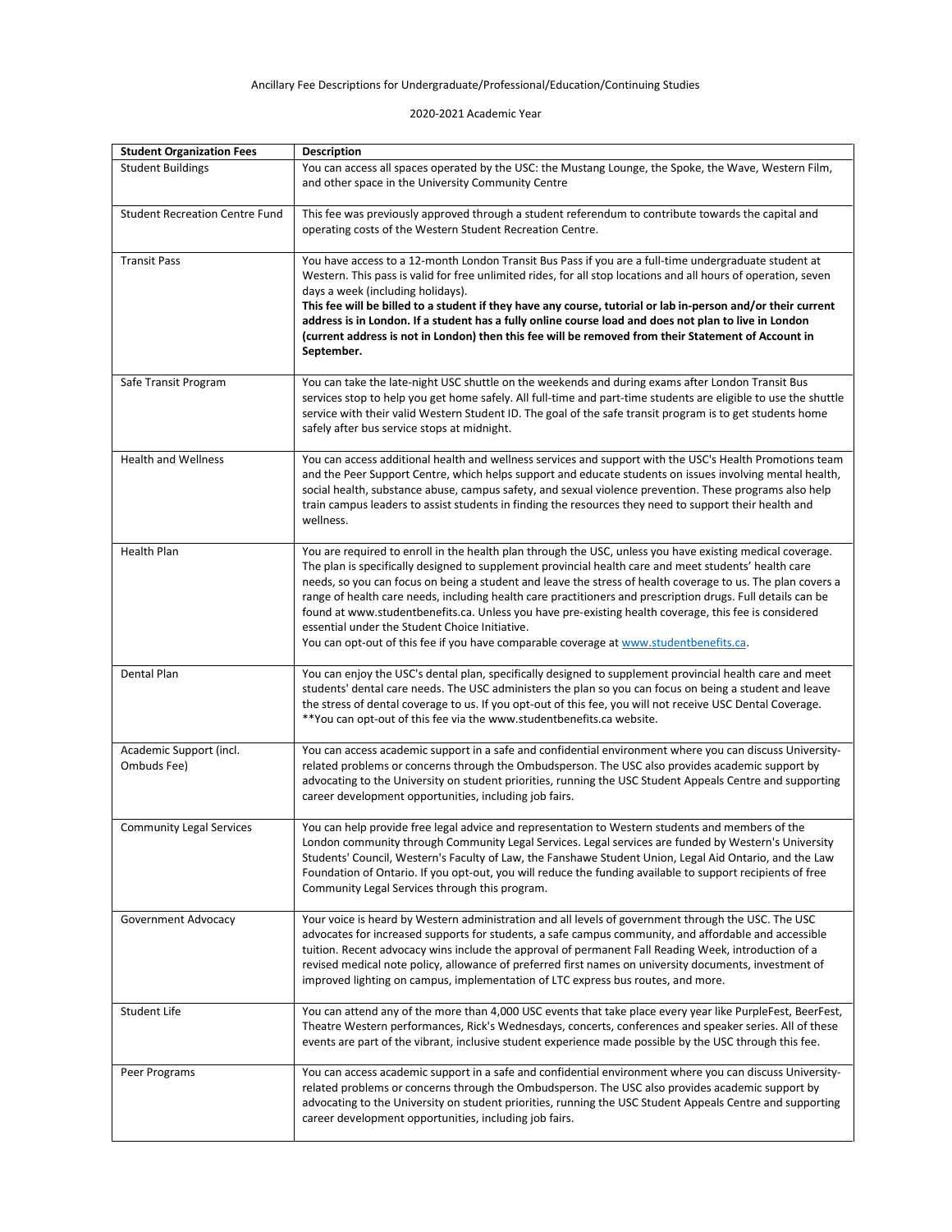## Ancillary Fee Descriptions for Undergraduate/Professional/Education/Continuing Studies

2020-2021 Academic Year

| <b>Student Organization Fees</b>       | <b>Description</b>                                                                                                                                                                                                                                                                                                                                                                                                                                                                                                                                                                                                                                                                                    |
|----------------------------------------|-------------------------------------------------------------------------------------------------------------------------------------------------------------------------------------------------------------------------------------------------------------------------------------------------------------------------------------------------------------------------------------------------------------------------------------------------------------------------------------------------------------------------------------------------------------------------------------------------------------------------------------------------------------------------------------------------------|
| <b>Student Buildings</b>               | You can access all spaces operated by the USC: the Mustang Lounge, the Spoke, the Wave, Western Film,                                                                                                                                                                                                                                                                                                                                                                                                                                                                                                                                                                                                 |
|                                        | and other space in the University Community Centre                                                                                                                                                                                                                                                                                                                                                                                                                                                                                                                                                                                                                                                    |
| <b>Student Recreation Centre Fund</b>  | This fee was previously approved through a student referendum to contribute towards the capital and<br>operating costs of the Western Student Recreation Centre.                                                                                                                                                                                                                                                                                                                                                                                                                                                                                                                                      |
| <b>Transit Pass</b>                    | You have access to a 12-month London Transit Bus Pass if you are a full-time undergraduate student at<br>Western. This pass is valid for free unlimited rides, for all stop locations and all hours of operation, seven<br>days a week (including holidays).<br>This fee will be billed to a student if they have any course, tutorial or lab in-person and/or their current<br>address is in London. If a student has a fully online course load and does not plan to live in London<br>(current address is not in London) then this fee will be removed from their Statement of Account in<br>September.                                                                                            |
| Safe Transit Program                   | You can take the late-night USC shuttle on the weekends and during exams after London Transit Bus<br>services stop to help you get home safely. All full-time and part-time students are eligible to use the shuttle<br>service with their valid Western Student ID. The goal of the safe transit program is to get students home<br>safely after bus service stops at midnight.                                                                                                                                                                                                                                                                                                                      |
| <b>Health and Wellness</b>             | You can access additional health and wellness services and support with the USC's Health Promotions team<br>and the Peer Support Centre, which helps support and educate students on issues involving mental health,<br>social health, substance abuse, campus safety, and sexual violence prevention. These programs also help<br>train campus leaders to assist students in finding the resources they need to support their health and<br>wellness.                                                                                                                                                                                                                                                |
| Health Plan                            | You are required to enroll in the health plan through the USC, unless you have existing medical coverage.<br>The plan is specifically designed to supplement provincial health care and meet students' health care<br>needs, so you can focus on being a student and leave the stress of health coverage to us. The plan covers a<br>range of health care needs, including health care practitioners and prescription drugs. Full details can be<br>found at www.studentbenefits.ca. Unless you have pre-existing health coverage, this fee is considered<br>essential under the Student Choice Initiative.<br>You can opt-out of this fee if you have comparable coverage at www.studentbenefits.ca. |
| Dental Plan                            | You can enjoy the USC's dental plan, specifically designed to supplement provincial health care and meet<br>students' dental care needs. The USC administers the plan so you can focus on being a student and leave<br>the stress of dental coverage to us. If you opt-out of this fee, you will not receive USC Dental Coverage.<br>** You can opt-out of this fee via the www.studentbenefits.ca website.                                                                                                                                                                                                                                                                                           |
| Academic Support (incl.<br>Ombuds Fee) | You can access academic support in a safe and confidential environment where you can discuss University-<br>related problems or concerns through the Ombudsperson. The USC also provides academic support by<br>advocating to the University on student priorities, running the USC Student Appeals Centre and supporting<br>career development opportunities, including job fairs.                                                                                                                                                                                                                                                                                                                   |
| <b>Community Legal Services</b>        | You can help provide free legal advice and representation to Western students and members of the<br>London community through Community Legal Services. Legal services are funded by Western's University<br>Students' Council, Western's Faculty of Law, the Fanshawe Student Union, Legal Aid Ontario, and the Law<br>Foundation of Ontario. If you opt-out, you will reduce the funding available to support recipients of free<br>Community Legal Services through this program.                                                                                                                                                                                                                   |
| Government Advocacy                    | Your voice is heard by Western administration and all levels of government through the USC. The USC<br>advocates for increased supports for students, a safe campus community, and affordable and accessible<br>tuition. Recent advocacy wins include the approval of permanent Fall Reading Week, introduction of a<br>revised medical note policy, allowance of preferred first names on university documents, investment of<br>improved lighting on campus, implementation of LTC express bus routes, and more.                                                                                                                                                                                    |
| <b>Student Life</b>                    | You can attend any of the more than 4,000 USC events that take place every year like PurpleFest, BeerFest,<br>Theatre Western performances, Rick's Wednesdays, concerts, conferences and speaker series. All of these<br>events are part of the vibrant, inclusive student experience made possible by the USC through this fee.                                                                                                                                                                                                                                                                                                                                                                      |
| Peer Programs                          | You can access academic support in a safe and confidential environment where you can discuss University-<br>related problems or concerns through the Ombudsperson. The USC also provides academic support by<br>advocating to the University on student priorities, running the USC Student Appeals Centre and supporting<br>career development opportunities, including job fairs.                                                                                                                                                                                                                                                                                                                   |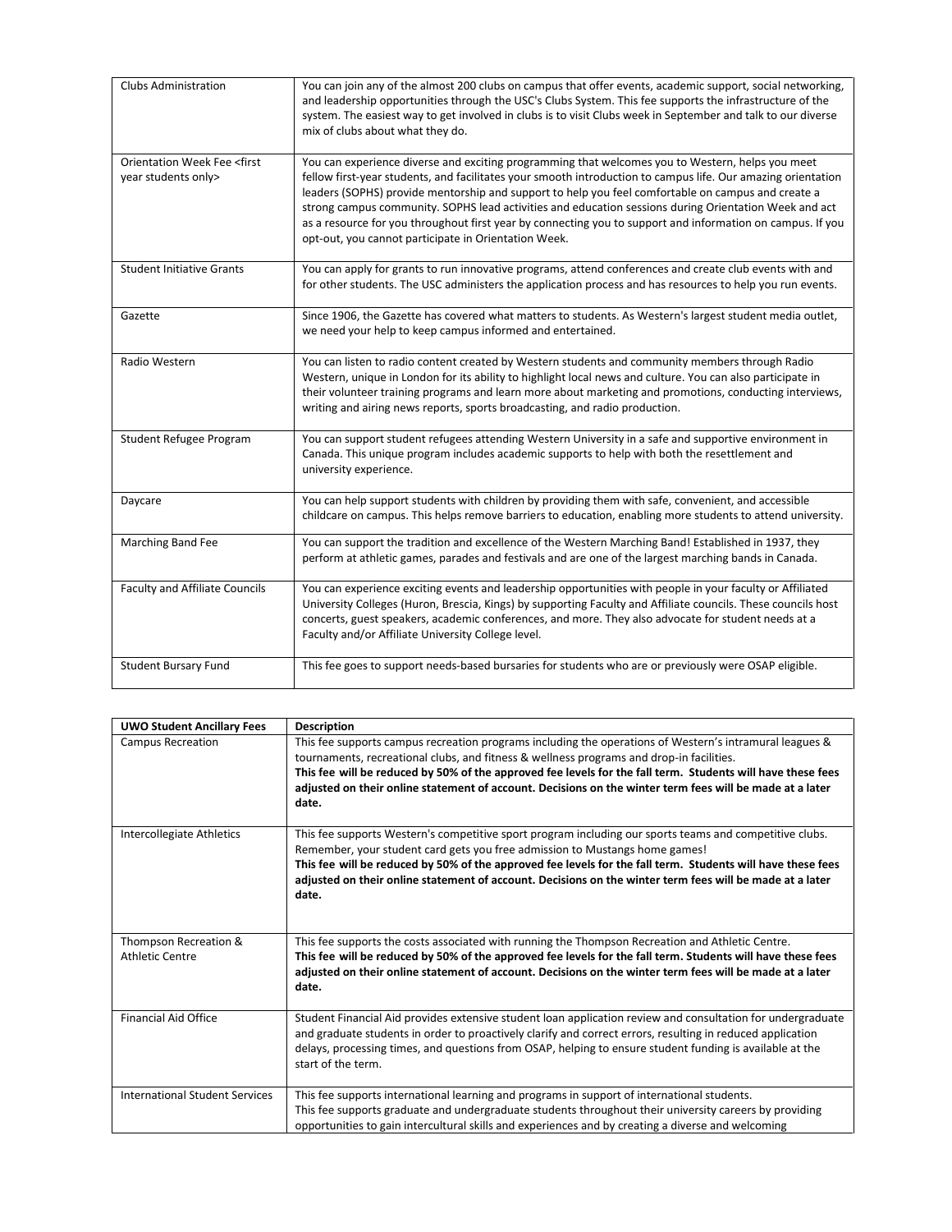| <b>Clubs Administration</b>                                      | You can join any of the almost 200 clubs on campus that offer events, academic support, social networking,<br>and leadership opportunities through the USC's Clubs System. This fee supports the infrastructure of the<br>system. The easiest way to get involved in clubs is to visit Clubs week in September and talk to our diverse<br>mix of clubs about what they do.                                                                                                                                                                                                                            |
|------------------------------------------------------------------|-------------------------------------------------------------------------------------------------------------------------------------------------------------------------------------------------------------------------------------------------------------------------------------------------------------------------------------------------------------------------------------------------------------------------------------------------------------------------------------------------------------------------------------------------------------------------------------------------------|
| Orientation Week Fee <first<br>year students only&gt;</first<br> | You can experience diverse and exciting programming that welcomes you to Western, helps you meet<br>fellow first-year students, and facilitates your smooth introduction to campus life. Our amazing orientation<br>leaders (SOPHS) provide mentorship and support to help you feel comfortable on campus and create a<br>strong campus community. SOPHS lead activities and education sessions during Orientation Week and act<br>as a resource for you throughout first year by connecting you to support and information on campus. If you<br>opt-out, you cannot participate in Orientation Week. |
| <b>Student Initiative Grants</b>                                 | You can apply for grants to run innovative programs, attend conferences and create club events with and<br>for other students. The USC administers the application process and has resources to help you run events.                                                                                                                                                                                                                                                                                                                                                                                  |
| Gazette                                                          | Since 1906, the Gazette has covered what matters to students. As Western's largest student media outlet,<br>we need your help to keep campus informed and entertained.                                                                                                                                                                                                                                                                                                                                                                                                                                |
| Radio Western                                                    | You can listen to radio content created by Western students and community members through Radio<br>Western, unique in London for its ability to highlight local news and culture. You can also participate in<br>their volunteer training programs and learn more about marketing and promotions, conducting interviews,<br>writing and airing news reports, sports broadcasting, and radio production.                                                                                                                                                                                               |
| Student Refugee Program                                          | You can support student refugees attending Western University in a safe and supportive environment in<br>Canada. This unique program includes academic supports to help with both the resettlement and<br>university experience.                                                                                                                                                                                                                                                                                                                                                                      |
| Daycare                                                          | You can help support students with children by providing them with safe, convenient, and accessible<br>childcare on campus. This helps remove barriers to education, enabling more students to attend university.                                                                                                                                                                                                                                                                                                                                                                                     |
| Marching Band Fee                                                | You can support the tradition and excellence of the Western Marching Band! Established in 1937, they<br>perform at athletic games, parades and festivals and are one of the largest marching bands in Canada.                                                                                                                                                                                                                                                                                                                                                                                         |
| <b>Faculty and Affiliate Councils</b>                            | You can experience exciting events and leadership opportunities with people in your faculty or Affiliated<br>University Colleges (Huron, Brescia, Kings) by supporting Faculty and Affiliate councils. These councils host<br>concerts, guest speakers, academic conferences, and more. They also advocate for student needs at a<br>Faculty and/or Affiliate University College level.                                                                                                                                                                                                               |
| <b>Student Bursary Fund</b>                                      | This fee goes to support needs-based bursaries for students who are or previously were OSAP eligible.                                                                                                                                                                                                                                                                                                                                                                                                                                                                                                 |

| <b>UWO Student Ancillary Fees</b>               | <b>Description</b>                                                                                                                                                                                                                                                                                                                                                                                                                      |
|-------------------------------------------------|-----------------------------------------------------------------------------------------------------------------------------------------------------------------------------------------------------------------------------------------------------------------------------------------------------------------------------------------------------------------------------------------------------------------------------------------|
| <b>Campus Recreation</b>                        | This fee supports campus recreation programs including the operations of Western's intramural leagues &<br>tournaments, recreational clubs, and fitness & wellness programs and drop-in facilities.<br>This fee will be reduced by 50% of the approved fee levels for the fall term. Students will have these fees<br>adjusted on their online statement of account. Decisions on the winter term fees will be made at a later<br>date. |
| <b>Intercollegiate Athletics</b>                | This fee supports Western's competitive sport program including our sports teams and competitive clubs.<br>Remember, your student card gets you free admission to Mustangs home games!<br>This fee will be reduced by 50% of the approved fee levels for the fall term. Students will have these fees<br>adjusted on their online statement of account. Decisions on the winter term fees will be made at a later<br>date.              |
| Thompson Recreation &<br><b>Athletic Centre</b> | This fee supports the costs associated with running the Thompson Recreation and Athletic Centre.<br>This fee will be reduced by 50% of the approved fee levels for the fall term. Students will have these fees<br>adjusted on their online statement of account. Decisions on the winter term fees will be made at a later<br>date.                                                                                                    |
| <b>Financial Aid Office</b>                     | Student Financial Aid provides extensive student loan application review and consultation for undergraduate<br>and graduate students in order to proactively clarify and correct errors, resulting in reduced application<br>delays, processing times, and questions from OSAP, helping to ensure student funding is available at the<br>start of the term.                                                                             |
| <b>International Student Services</b>           | This fee supports international learning and programs in support of international students.<br>This fee supports graduate and undergraduate students throughout their university careers by providing<br>opportunities to gain intercultural skills and experiences and by creating a diverse and welcoming                                                                                                                             |